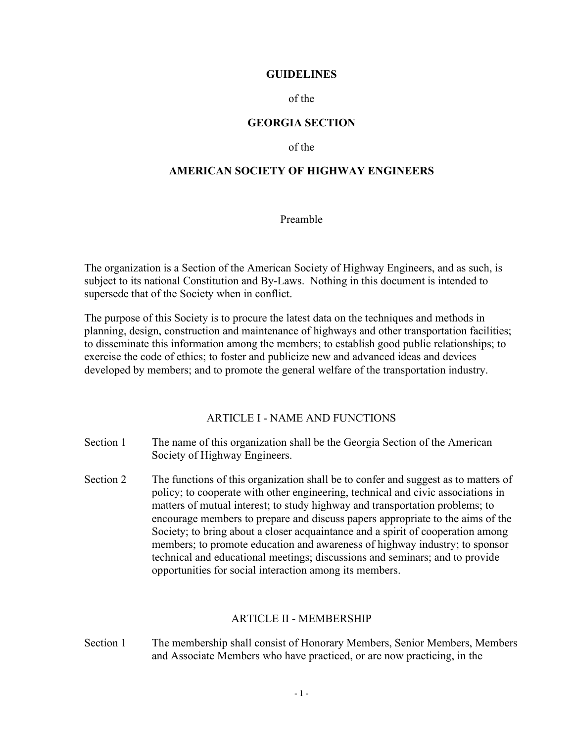#### **GUIDELINES**

of the

#### **GEORGIA SECTION**

of the

## **AMERICAN SOCIETY OF HIGHWAY ENGINEERS**

Preamble

The organization is a Section of the American Society of Highway Engineers, and as such, is subject to its national Constitution and By-Laws. Nothing in this document is intended to supersede that of the Society when in conflict.

The purpose of this Society is to procure the latest data on the techniques and methods in planning, design, construction and maintenance of highways and other transportation facilities; to disseminate this information among the members; to establish good public relationships; to exercise the code of ethics; to foster and publicize new and advanced ideas and devices developed by members; and to promote the general welfare of the transportation industry.

ARTICLE I - NAME AND FUNCTIONS

- Section 1 The name of this organization shall be the Georgia Section of the American Society of Highway Engineers.
- Section 2 The functions of this organization shall be to confer and suggest as to matters of policy; to cooperate with other engineering, technical and civic associations in matters of mutual interest; to study highway and transportation problems; to encourage members to prepare and discuss papers appropriate to the aims of the Society; to bring about a closer acquaintance and a spirit of cooperation among members; to promote education and awareness of highway industry; to sponsor technical and educational meetings; discussions and seminars; and to provide opportunities for social interaction among its members.

#### ARTICLE II - MEMBERSHIP

Section 1 The membership shall consist of Honorary Members, Senior Members, Members and Associate Members who have practiced, or are now practicing, in the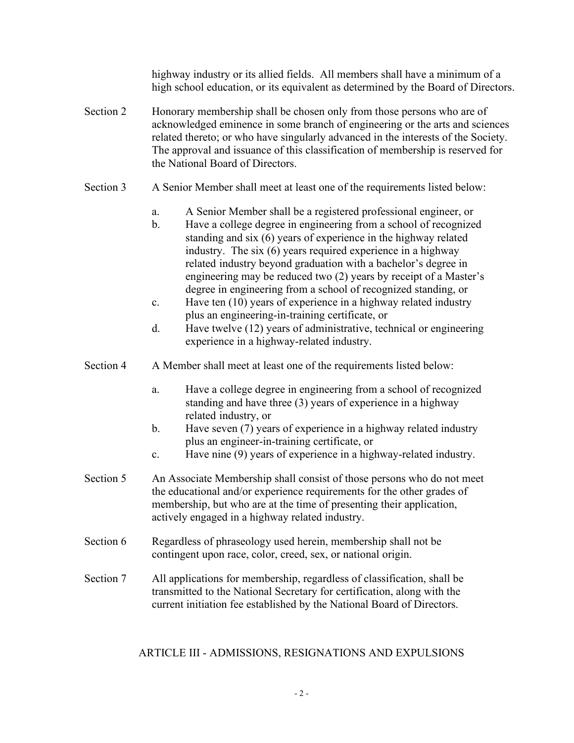highway industry or its allied fields. All members shall have a minimum of a high school education, or its equivalent as determined by the Board of Directors.

- Section 2 Honorary membership shall be chosen only from those persons who are of acknowledged eminence in some branch of engineering or the arts and sciences related thereto; or who have singularly advanced in the interests of the Society. The approval and issuance of this classification of membership is reserved for the National Board of Directors.
- Section 3 A Senior Member shall meet at least one of the requirements listed below:
	- a. A Senior Member shall be a registered professional engineer, or
	- b. Have a college degree in engineering from a school of recognized standing and six (6) years of experience in the highway related industry. The six (6) years required experience in a highway related industry beyond graduation with a bachelor's degree in engineering may be reduced two (2) years by receipt of a Master's degree in engineering from a school of recognized standing, or
	- c. Have ten (10) years of experience in a highway related industry plus an engineering-in-training certificate, or
	- d. Have twelve (12) years of administrative, technical or engineering experience in a highway-related industry.
- Section 4 A Member shall meet at least one of the requirements listed below:
	- a. Have a college degree in engineering from a school of recognized standing and have three (3) years of experience in a highway related industry, or
	- b. Have seven (7) years of experience in a highway related industry plus an engineer-in-training certificate, or
	- c. Have nine (9) years of experience in a highway-related industry.
- Section 5 An Associate Membership shall consist of those persons who do not meet the educational and/or experience requirements for the other grades of membership, but who are at the time of presenting their application, actively engaged in a highway related industry.
- Section 6 Regardless of phraseology used herein, membership shall not be contingent upon race, color, creed, sex, or national origin.
- Section 7 All applications for membership, regardless of classification, shall be transmitted to the National Secretary for certification, along with the current initiation fee established by the National Board of Directors.

## ARTICLE III - ADMISSIONS, RESIGNATIONS AND EXPULSIONS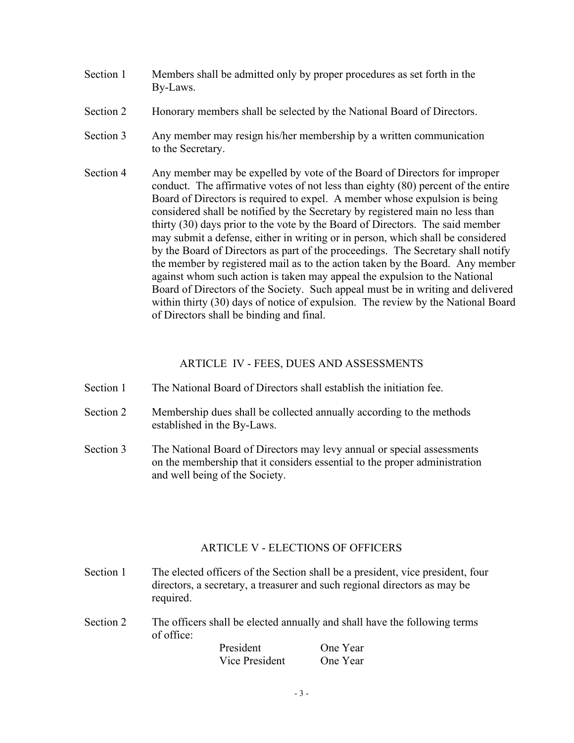- Section 1 Members shall be admitted only by proper procedures as set forth in the By-Laws.
- Section 2 Honorary members shall be selected by the National Board of Directors.
- Section 3 Any member may resign his/her membership by a written communication to the Secretary.
- Section 4 Any member may be expelled by vote of the Board of Directors for improper conduct. The affirmative votes of not less than eighty (80) percent of the entire Board of Directors is required to expel. A member whose expulsion is being considered shall be notified by the Secretary by registered main no less than thirty (30) days prior to the vote by the Board of Directors. The said member may submit a defense, either in writing or in person, which shall be considered by the Board of Directors as part of the proceedings. The Secretary shall notify the member by registered mail as to the action taken by the Board. Any member against whom such action is taken may appeal the expulsion to the National Board of Directors of the Society. Such appeal must be in writing and delivered within thirty (30) days of notice of expulsion. The review by the National Board of Directors shall be binding and final.

## ARTICLE IV - FEES, DUES AND ASSESSMENTS

- Section 1 The National Board of Directors shall establish the initiation fee.
- Section 2 Membership dues shall be collected annually according to the methods established in the By-Laws.
- Section 3 The National Board of Directors may levy annual or special assessments on the membership that it considers essential to the proper administration and well being of the Society.

## ARTICLE V - ELECTIONS OF OFFICERS

- Section 1 The elected officers of the Section shall be a president, vice president, four directors, a secretary, a treasurer and such regional directors as may be required.
- Section 2 The officers shall be elected annually and shall have the following terms of office:

President One Year Vice President One Year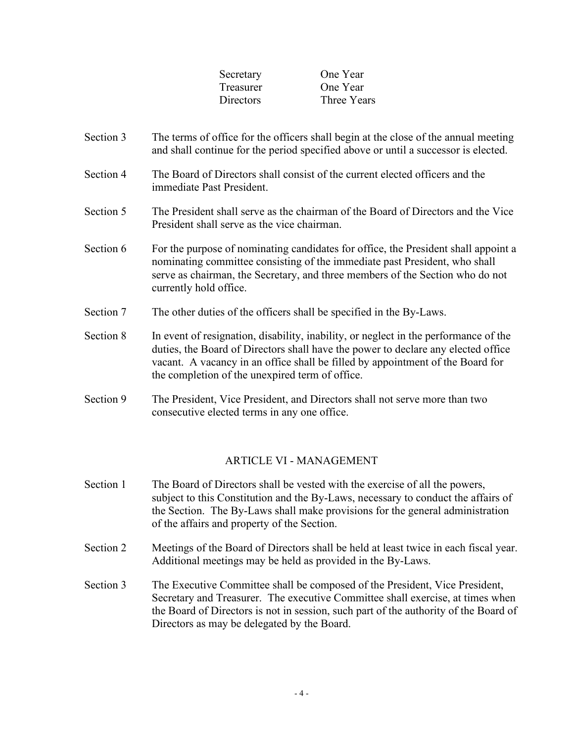| Secretary        | One Year    |
|------------------|-------------|
| <b>Treasurer</b> | One Year    |
| <b>Directors</b> | Three Years |

- Section 3 The terms of office for the officers shall begin at the close of the annual meeting and shall continue for the period specified above or until a successor is elected.
- Section 4 The Board of Directors shall consist of the current elected officers and the immediate Past President.
- Section 5 The President shall serve as the chairman of the Board of Directors and the Vice President shall serve as the vice chairman.
- Section 6 For the purpose of nominating candidates for office, the President shall appoint a nominating committee consisting of the immediate past President, who shall serve as chairman, the Secretary, and three members of the Section who do not currently hold office.
- Section 7 The other duties of the officers shall be specified in the By-Laws.
- Section 8 In event of resignation, disability, inability, or neglect in the performance of the duties, the Board of Directors shall have the power to declare any elected office vacant. A vacancy in an office shall be filled by appointment of the Board for the completion of the unexpired term of office.
- Section 9 The President, Vice President, and Directors shall not serve more than two consecutive elected terms in any one office.

#### ARTICLE VI - MANAGEMENT

- Section 1 The Board of Directors shall be vested with the exercise of all the powers, subject to this Constitution and the By-Laws, necessary to conduct the affairs of the Section. The By-Laws shall make provisions for the general administration of the affairs and property of the Section.
- Section 2 Meetings of the Board of Directors shall be held at least twice in each fiscal year. Additional meetings may be held as provided in the By-Laws.
- Section 3 The Executive Committee shall be composed of the President, Vice President, Secretary and Treasurer. The executive Committee shall exercise, at times when the Board of Directors is not in session, such part of the authority of the Board of Directors as may be delegated by the Board.